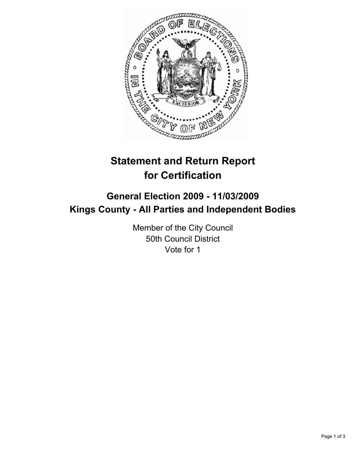

# **Statement and Return Report for Certification**

## **General Election 2009 - 11/03/2009 Kings County - All Parties and Independent Bodies**

Member of the City Council 50th Council District Vote for 1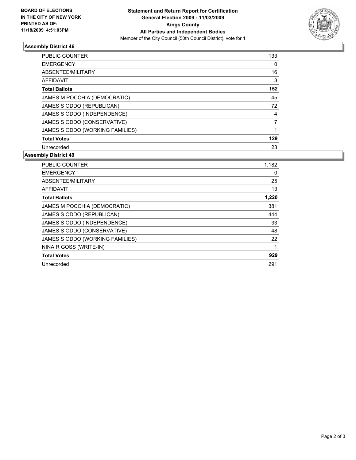

### **Assembly District 46**

| <b>PUBLIC COUNTER</b>           | 133 |
|---------------------------------|-----|
| <b>EMERGENCY</b>                | 0   |
| ABSENTEE/MILITARY               | 16  |
| AFFIDAVIT                       | 3   |
| <b>Total Ballots</b>            | 152 |
| JAMES M POCCHIA (DEMOCRATIC)    | 45  |
| JAMES S ODDO (REPUBLICAN)       | 72  |
| JAMES S ODDO (INDEPENDENCE)     | 4   |
| JAMES S ODDO (CONSERVATIVE)     |     |
| JAMES S ODDO (WORKING FAMILIES) |     |
| <b>Total Votes</b>              | 129 |
| Unrecorded                      | 23  |

#### **Assembly District 49**

| <b>PUBLIC COUNTER</b>           | 1,182 |
|---------------------------------|-------|
| <b>EMERGENCY</b>                | 0     |
| ABSENTEE/MILITARY               | 25    |
| AFFIDAVIT                       | 13    |
| <b>Total Ballots</b>            | 1,220 |
| JAMES M POCCHIA (DEMOCRATIC)    | 381   |
| JAMES S ODDO (REPUBLICAN)       | 444   |
| JAMES S ODDO (INDEPENDENCE)     | 33    |
| JAMES S ODDO (CONSERVATIVE)     | 48    |
| JAMES S ODDO (WORKING FAMILIES) | 22    |
| NINA R GOSS (WRITE-IN)          | 1     |
| <b>Total Votes</b>              | 929   |
| Unrecorded                      | 291   |